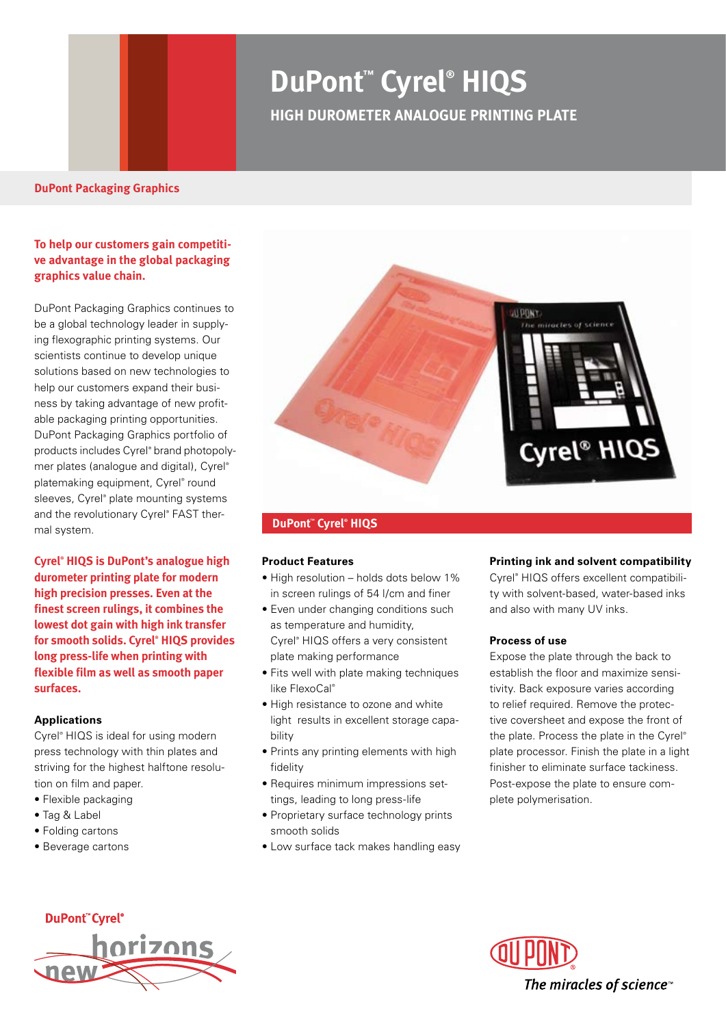## **DuPont™ Cyrel® HIQS HIGH DUROMETER ANALOGUE PRINTING PLATE**

## **To help our customers gain competitive advantage in the global packaging graphics value chain.**

DuPont Packaging Graphics continues to be a global technology leader in supplying flexographic printing systems. Our scientists continue to develop unique solutions based on new technologies to help our customers expand their business by taking advantage of new profitable packaging printing opportunities. DuPont Packaging Graphics portfolio of products includes Cyrel® brand photopolymer plates (analogue and digital), Cyrel® platemaking equipment, Cyrel® round sleeves, Cyrel® plate mounting systems and the revolutionary Cyrel® FAST thermal system.

**Cyrel® HIQS is DuPont's analogue high durometer printing plate for modern high precision presses. Even at the finest screen rulings, it combines the lowest dot gain with high ink transfer for smooth solids. Cyrel® HIQS provides long press-life when printing with flexible film as well as smooth paper surfaces.**

#### **Applications**

Cyrel® HIQS is ideal for using modern press technology with thin plates and striving for the highest halftone resolution on film and paper.

- Flexible packaging
- Tag & Label
- Folding cartons
- Beverage cartons



#### **DuPont™ Cyrel® HIQS**

#### **Product Features**

- High resolution holds dots below 1% in screen rulings of 54 l/cm and finer
- Even under changing conditions such as temperature and humidity, Cyrel® HIQS offers a very consistent plate making performance
- Fits well with plate making techniques like FlexoCal®
- High resistance to ozone and white light results in excellent storage capability
- Prints any printing elements with high fidelity
- Requires minimum impressions settings, leading to long press-life
- Proprietary surface technology prints smooth solids
- Low surface tack makes handling easy

#### **Printing ink and solvent compatibility**

Cyrel® HIQS offers excellent compatibility with solvent-based, water-based inks and also with many UV inks.

#### **Process of use**

Expose the plate through the back to establish the floor and maximize sensitivity. Back exposure varies according to relief required. Remove the protective coversheet and expose the front of the plate. Process the plate in the Cyrel® plate processor. Finish the plate in a light finisher to eliminate surface tackiness. Post-expose the plate to ensure complete polymerisation.